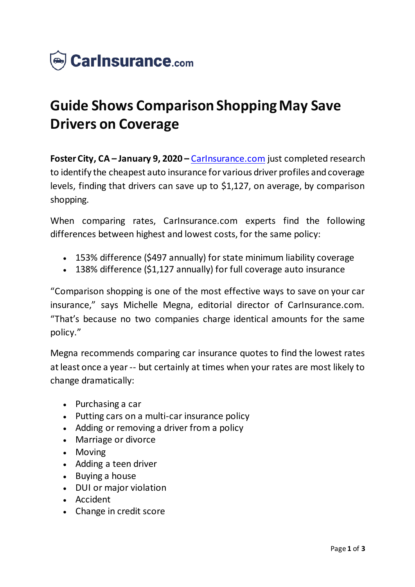

## **Guide Shows Comparison Shopping May Save Drivers on Coverage**

**Foster City, CA – January 9, 2020 –** [CarInsurance.com](https://www.carinsurance.com/) just completed research to identify the cheapest auto insurance for various driver profiles and coverage levels, finding that drivers can save up to \$1,127, on average, by comparison shopping.

When comparing rates, CarInsurance.com experts find the following differences between highest and lowest costs, for the same policy:

- 153% difference (\$497 annually) for state minimum liability coverage
- 138% difference (\$1,127 annually) for full coverage auto insurance

"Comparison shopping is one of the most effective ways to save on your car insurance," says Michelle Megna, editorial director of CarInsurance.com. "That's because no two companies charge identical amounts for the same policy."

Megna recommends comparing car insurance quotes to find the lowest rates at least once a year -- but certainly at times when your rates are most likely to change dramatically:

- $\bullet$  Purchasing a car
- Putting cars on a multi-car insurance policy
- Adding or removing a driver from a policy
- Marriage or divorce
- Moving
- Adding a teen driver
- Buying a house
- DUI or major violation
- Accident
- Change in credit score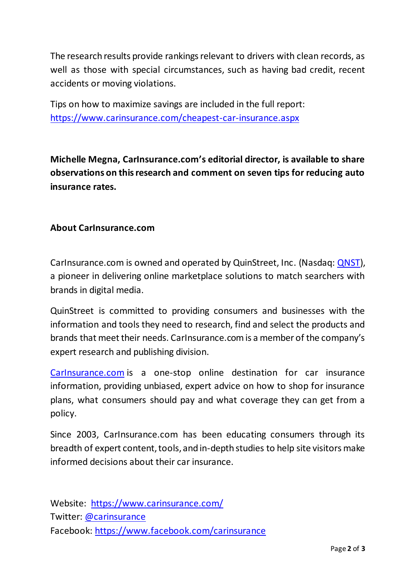The research results provide rankings relevant to drivers with clean records, as well as those with special circumstances, such as having bad credit, recent accidents or moving violations.

Tips on how to maximize savings are included in the full report: [https://www.carinsurance.com/cheapest-car-insurance.asp](https://www.carinsurance.com/cheapest-car-insurance.aspx)x

**Michelle Megna, CarInsurance.com's editorial director, is available to share observations on this research and comment on seven tips for reducing auto insurance rates.**

## **About CarInsurance.com**

CarInsurance.com is owned and operated by QuinStreet, Inc. (Nasdaq: [QNST\)](https://www.globenewswire.com/Tracker?data=nIE80Pg4a4CF_2hibnrCwRdYrY-HFtd7HRKnYBpfLjdk8-fWdjzFAv5PNFXp51BdodbCvC6QVxm_2Yue2ZEIsw==), a pioneer in delivering online marketplace solutions to match searchers with brands in digital media.

QuinStreet is committed to providing consumers and businesses with the information and tools they need to research, find and select the products and brands that meet their needs. CarInsurance.com is a member of the company's expert research and publishing division.

[CarInsurance.com](https://www.carinsurance.com/) is a one-stop online destination for car insurance information, providing unbiased, expert advice on how to shop for insurance plans, what consumers should pay and what coverage they can get from a policy.

Since 2003, CarInsurance.com has been educating consumers through its breadth of expert content, tools, and in-depth studies to help site visitors make informed decisions about their car insurance.

Website: <https://www.carinsurance.com/> Twitter: [@carinsurance](https://www.globenewswire.com/Tracker?data=pve6I3Qcfx80AG4FGsspzdtzqQM5echDTUSa2XS3PPmkHZxSdGU2ZnW-_ES_nyxMCXPSvCYsNEEvz1i1AMJ3bR4xdeAnFKxxQd8XmRzMmHY=) Facebook: [https://www.facebook.com/carinsuranc](https://www.globenewswire.com/Tracker?data=YGAcOKsHiT_sZHVhHNXc_XEPaSzLkAUxdjqM2zGwtr7ZJyraQUSnPmg6hONk31ehgHLura5Y-6axBzHdfBBT7kHR9VxoFYTGCFOhEY_TF3DVd4SM06sEh8rjvSYzpZtVGMRfBYtCvyWwxD2cUgSoZg==)e